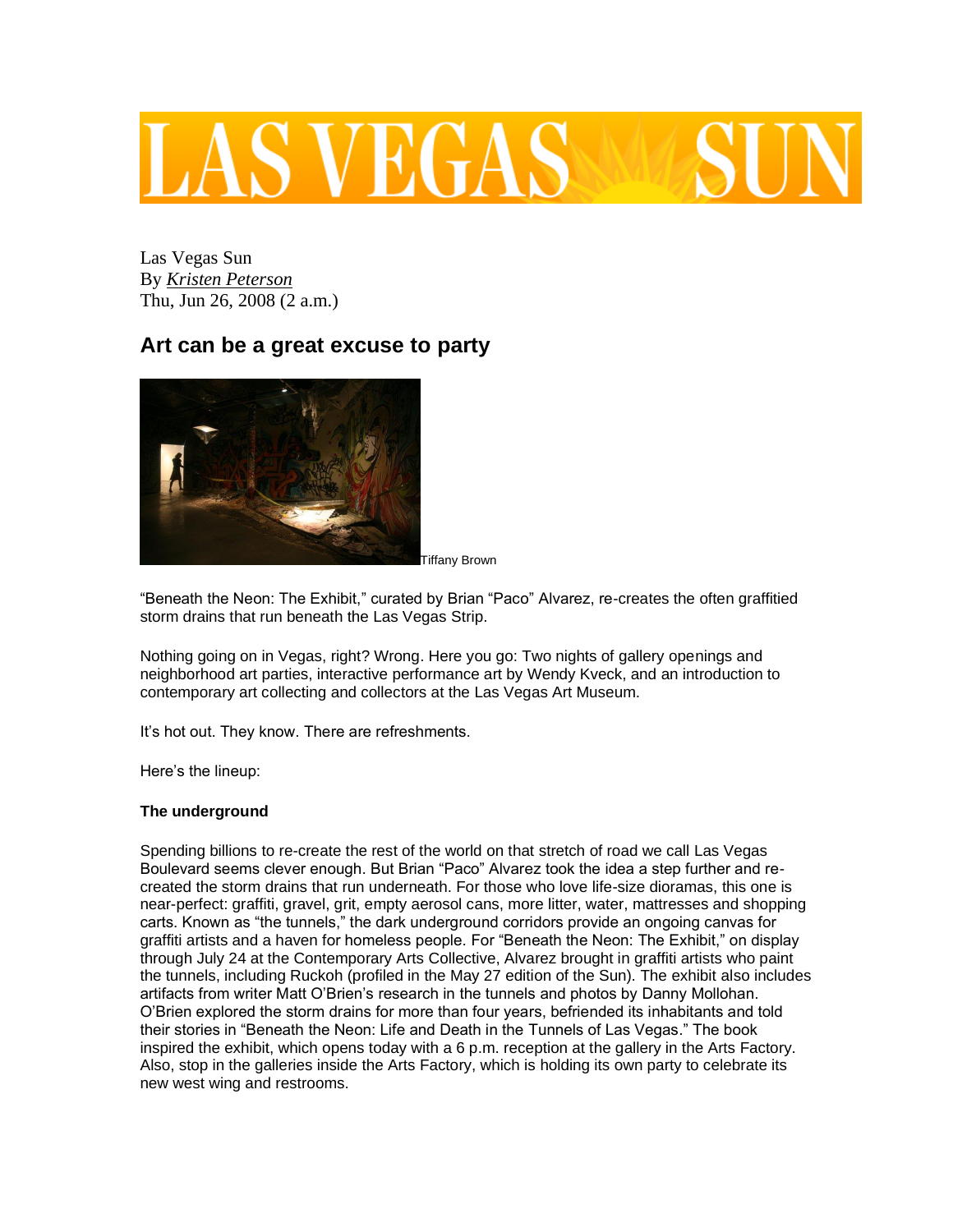# LAS VEGAS

Las Vegas Sun By *[Kristen Peterson](http://www.lasvegassun.com/staff/kristen-peterson/)* Thu, Jun 26, 2008 (2 a.m.)

## **Art can be a great excuse to party**



Tiffany Brown

"Beneath the Neon: The Exhibit," curated by Brian "Paco" Alvarez, re-creates the often graffitied storm drains that run beneath the Las Vegas Strip.

Nothing going on in Vegas, right? Wrong. Here you go: Two nights of gallery openings and neighborhood art parties, interactive performance art by Wendy Kveck, and an introduction to contemporary art collecting and collectors at the Las Vegas Art Museum.

It's hot out. They know. There are refreshments.

Here's the lineup:

### **The underground**

Spending billions to re-create the rest of the world on that stretch of road we call Las Vegas Boulevard seems clever enough. But Brian "Paco" Alvarez took the idea a step further and recreated the storm drains that run underneath. For those who love life-size dioramas, this one is near-perfect: graffiti, gravel, grit, empty aerosol cans, more litter, water, mattresses and shopping carts. Known as "the tunnels," the dark underground corridors provide an ongoing canvas for graffiti artists and a haven for homeless people. For "Beneath the Neon: The Exhibit," on display through July 24 at the Contemporary Arts Collective, Alvarez brought in graffiti artists who paint the tunnels, including Ruckoh (profiled in the May 27 edition of the Sun). The exhibit also includes artifacts from writer Matt O'Brien's research in the tunnels and photos by Danny Mollohan. O'Brien explored the storm drains for more than four years, befriended its inhabitants and told their stories in "Beneath the Neon: Life and Death in the Tunnels of Las Vegas." The book inspired the exhibit, which opens today with a 6 p.m. reception at the gallery in the Arts Factory. Also, stop in the galleries inside the Arts Factory, which is holding its own party to celebrate its new west wing and restrooms.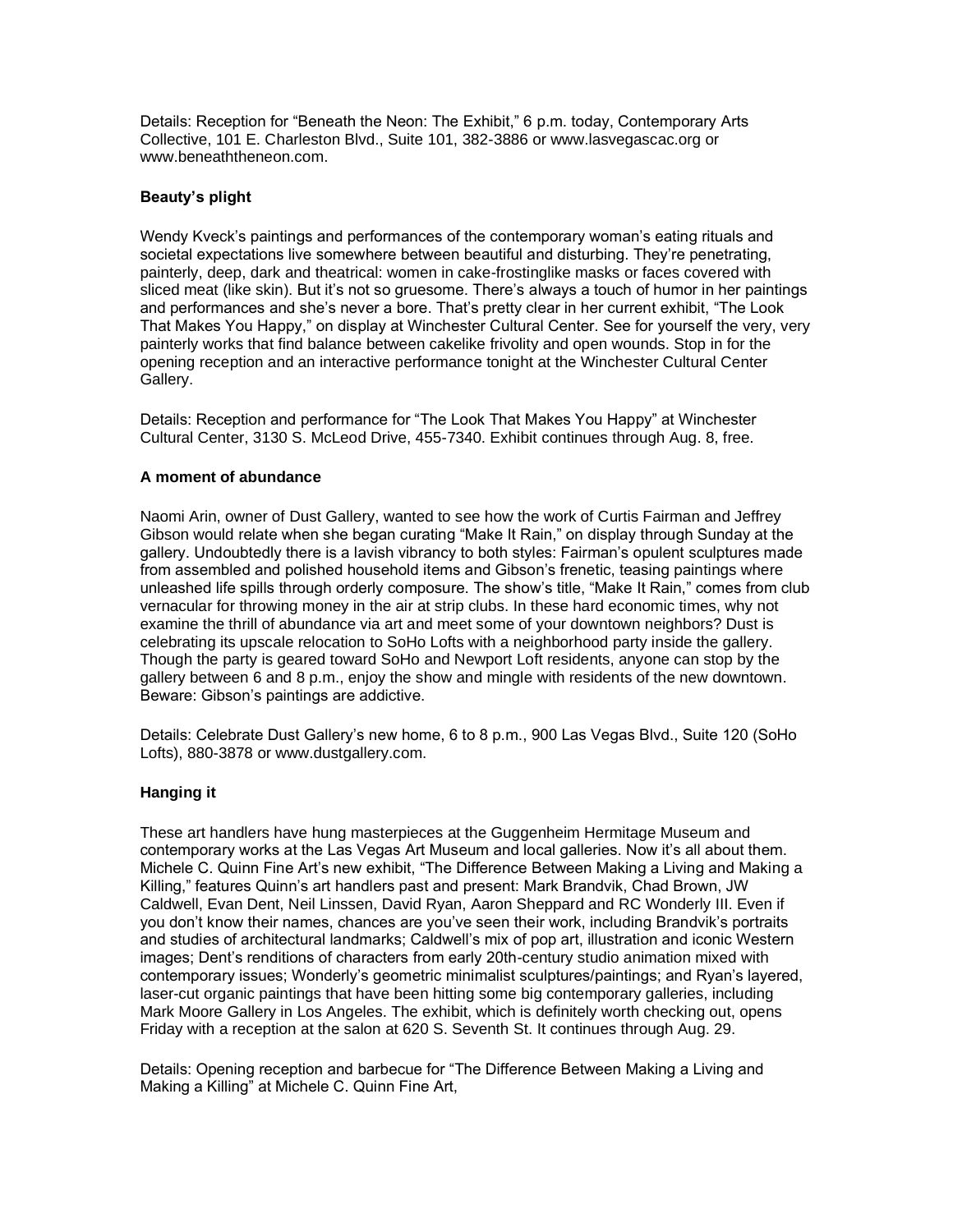Details: Reception for "Beneath the Neon: The Exhibit," 6 p.m. today, Contemporary Arts Collective, 101 E. Charleston Blvd., Suite 101, 382-3886 or www.lasvegascac.org or www.beneaththeneon.com.

#### **Beauty's plight**

Wendy Kveck's paintings and performances of the contemporary woman's eating rituals and societal expectations live somewhere between beautiful and disturbing. They're penetrating, painterly, deep, dark and theatrical: women in cake-frostinglike masks or faces covered with sliced meat (like skin). But it's not so gruesome. There's always a touch of humor in her paintings and performances and she's never a bore. That's pretty clear in her current exhibit, "The Look That Makes You Happy," on display at Winchester Cultural Center. See for yourself the very, very painterly works that find balance between cakelike frivolity and open wounds. Stop in for the opening reception and an interactive performance tonight at the Winchester Cultural Center Gallery.

Details: Reception and performance for "The Look That Makes You Happy" at Winchester Cultural Center, 3130 S. McLeod Drive, 455-7340. Exhibit continues through Aug. 8, free.

#### **A moment of abundance**

Naomi Arin, owner of Dust Gallery, wanted to see how the work of Curtis Fairman and Jeffrey Gibson would relate when she began curating "Make It Rain," on display through Sunday at the gallery. Undoubtedly there is a lavish vibrancy to both styles: Fairman's opulent sculptures made from assembled and polished household items and Gibson's frenetic, teasing paintings where unleashed life spills through orderly composure. The show's title, "Make It Rain," comes from club vernacular for throwing money in the air at strip clubs. In these hard economic times, why not examine the thrill of abundance via art and meet some of your downtown neighbors? Dust is celebrating its upscale relocation to SoHo Lofts with a neighborhood party inside the gallery. Though the party is geared toward SoHo and Newport Loft residents, anyone can stop by the gallery between 6 and 8 p.m., enjoy the show and mingle with residents of the new downtown. Beware: Gibson's paintings are addictive.

Details: Celebrate Dust Gallery's new home, 6 to 8 p.m., 900 Las Vegas Blvd., Suite 120 (SoHo Lofts), 880-3878 or www.dustgallery.com.

#### **Hanging it**

These art handlers have hung masterpieces at the Guggenheim Hermitage Museum and contemporary works at the Las Vegas Art Museum and local galleries. Now it's all about them. Michele C. Quinn Fine Art's new exhibit, "The Difference Between Making a Living and Making a Killing," features Quinn's art handlers past and present: Mark Brandvik, Chad Brown, JW Caldwell, Evan Dent, Neil Linssen, David Ryan, Aaron Sheppard and RC Wonderly III. Even if you don't know their names, chances are you've seen their work, including Brandvik's portraits and studies of architectural landmarks; Caldwell's mix of pop art, illustration and iconic Western images; Dent's renditions of characters from early 20th-century studio animation mixed with contemporary issues; Wonderly's geometric minimalist sculptures/paintings; and Ryan's layered, laser-cut organic paintings that have been hitting some big contemporary galleries, including Mark Moore Gallery in Los Angeles. The exhibit, which is definitely worth checking out, opens Friday with a reception at the salon at 620 S. Seventh St. It continues through Aug. 29.

Details: Opening reception and barbecue for "The Difference Between Making a Living and Making a Killing" at Michele C. Quinn Fine Art,